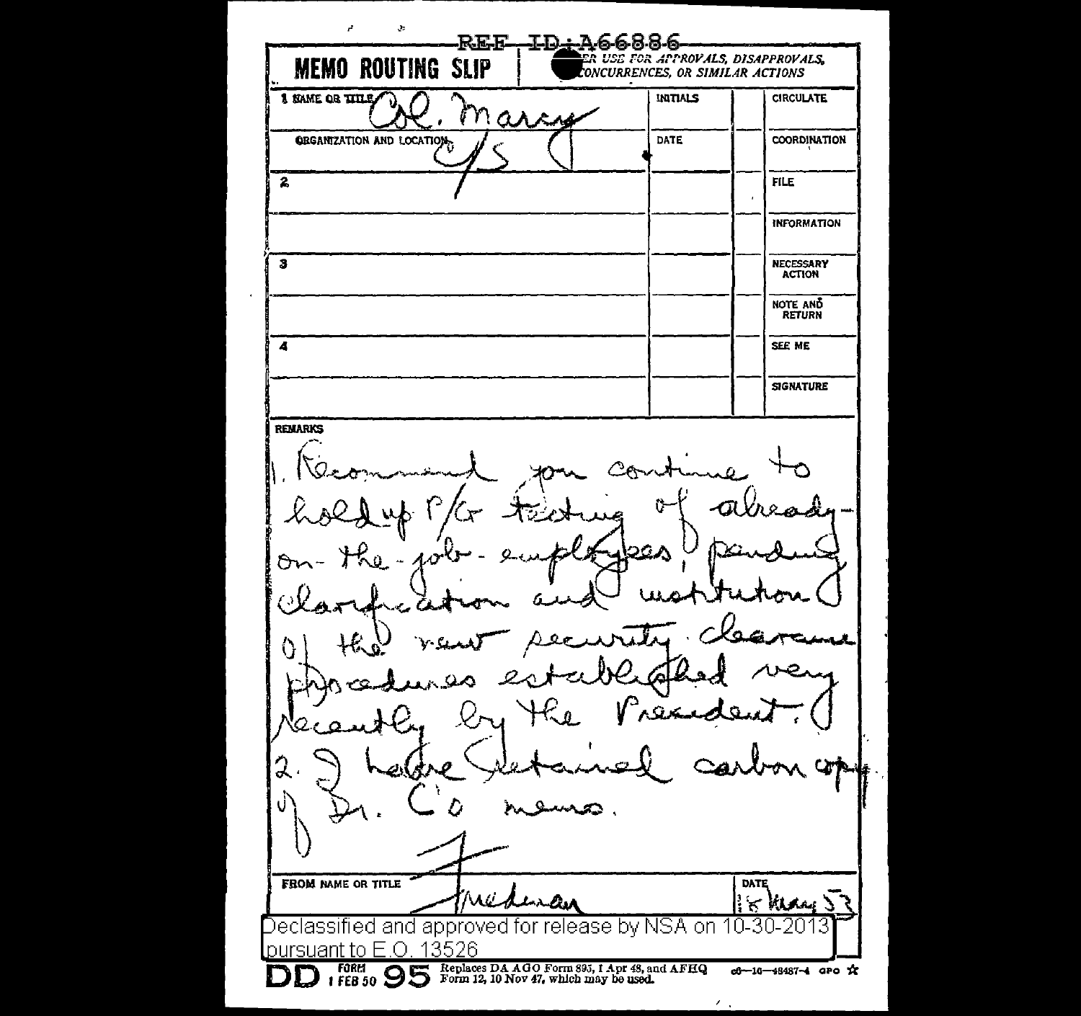$\mathbf{r}$  $\ddot{\mathbf{z}}$ **REE ID:A66886 MEMO ROUTING SLIP** 1 RAME OR TITLE !NITIALS **CIRCULATE** arch **GEGANIZATION AND LOCATION** COORDINATION **DATE**  $\overline{2}$ **FILE** INFORMATION  $\overline{\mathbf{s}}$ NECESSARY ACTION NOTE AND RETURN 4 SEE ME **SIGNATURE** REMARKS 2CA  $\boldsymbol{Q}$  $\sigma$ O, 2. ms FROM NAME OR TITLE DATE Mild े ह مسكسد **Vilolan** Declassified and approved for release by NSA on 10-30-20 DUITSUANT IO E.U. 13526<br>**DD f** FORM  $\overline{95}$   $\overline{8}$  Replaces DA AGO Form 895, I Apr 48, and AFHQ c6-10-\$487~4 apo \*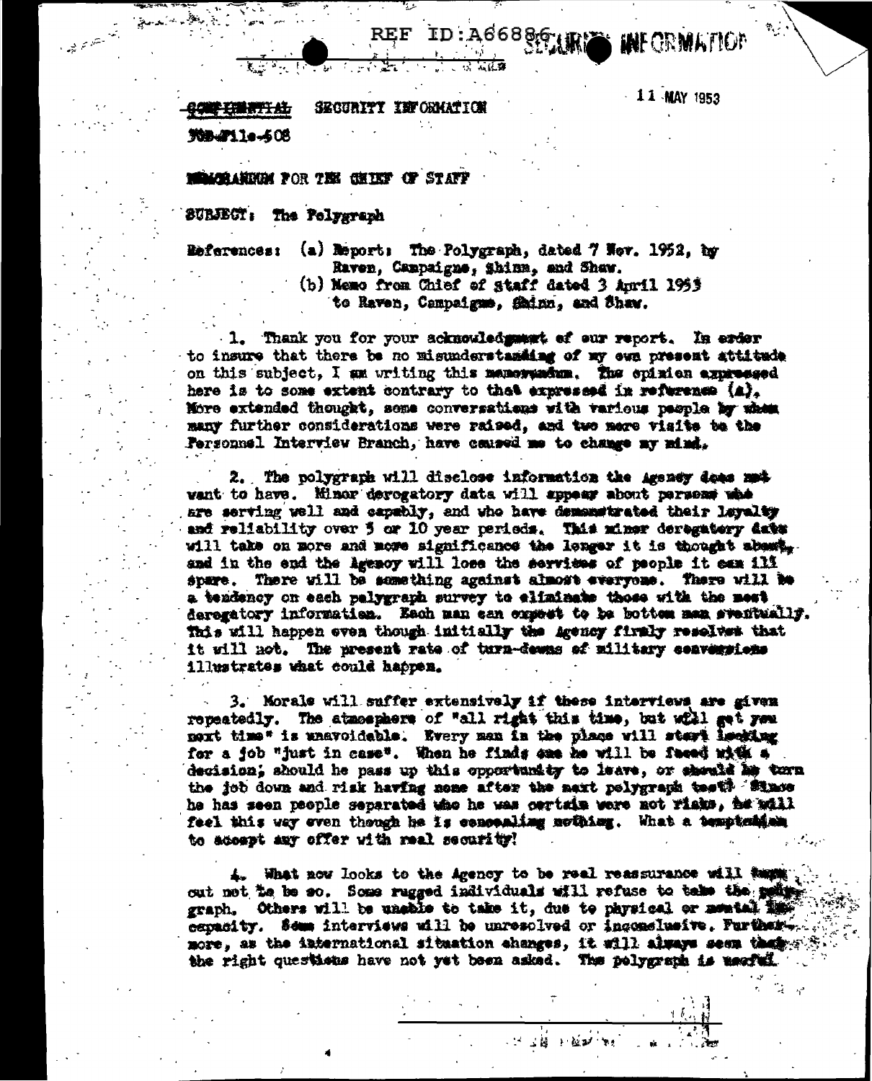ID:A66886.1 AFORMALIO

 $-11$  MAY 1953

**印刷字主播调节 出** SECURITY INFORMATIO

**New 11e-608** 

يسويد<br>سائنسگاههاي است.<br>سائنسگاههاي است.

**CALCOLARDIN FOR THE CHIEF OF STAFF** 

SUBJECT: The Polygraph

**References:** 

- (a) Report: The Polygraph, dated 7 Hev. 1952, by Raven, Campaigne, Shinn, and Shaw.
	- (b) Memo from Chief of staff dated 3 April 1953 to Raven, Campaigne, Shinn, and Shaw.

1. Thank you for your acknowledgement of our report. In erder to insure that there be no misunderstanding of my ewn present attitude on this subject, I am writing this memory norm. The epision expressed here is to some extent contrary to the expressed in reference (a). More extended thought, seme conversations with various people by when many further considerations were raised, and two mere visite to the Personnel Interview Branch, have caused me to change my mind.

2. The polygraph will disclose information the Agency does mat want to have. Minor devogatory data will appear about persons whe are serving well and capably, and who have demonstrated their layelty and reliability over 5 or 10 year periods. This minor deregatory date will take on more and mome significance the longer it is thought abomt. and in the end the Agency will lose the serviews of people it can ill spare. There will be something against almost everyone. There will be a tendency on each pelygraph survey to eliminate those with the mest deregatory informatien. Each man ean empett to be botten man sventually. This will happen even though initially the *agency firmly reselves* that it will not. The present rate of turn-dewns of military convergions illustrates what could habren.

3. Morale will suffer extensively if these interviews are given repeatedly. The atmosphere of "all right this time, but will get you next time" is unavoidable. Every man in the place will start lecting for a fob "just in case". When he finds one he will be feeed with a decision; should he pass up this opportunity to leave, or should he tern the job down and risk having none after the maxt polygraph test? Since he has seen pacple separated who he was cartain were not rinks, he will feel this way even though he is concealing nothing. What a temptation to accept any offer with real security!

4. What now looks to the Agency to be real reassurance will turn ... out not to be so. Some rugged individuals will refuse to take the point graph. Others will be unable to take it, due to physical or memtal in capacity. Some interviews will be unresolved or incomelusive. Furtherest. more, as the international situation changes, it will always seem that with the right questions have not yet been asked. The polygraph is nearbed.

计过程 医额神经